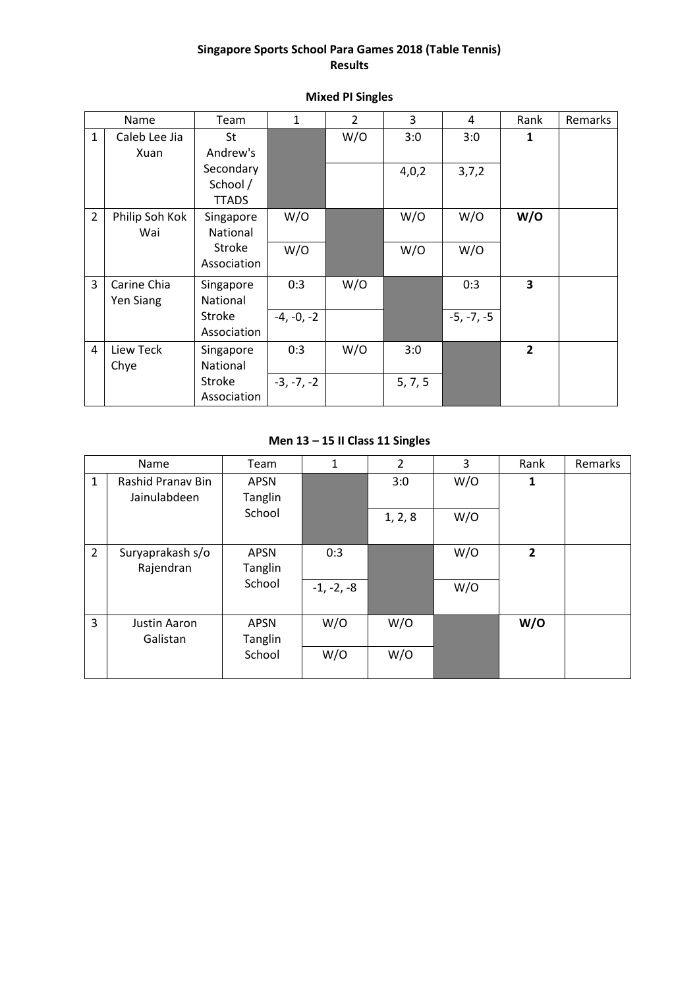#### **Singapore Sports School Para Games 2018 (Table Tennis) Results**

|                | Name             | Team            | $\mathbf{1}$ | $\overline{2}$ | 3       | 4            | Rank                    | Remarks |
|----------------|------------------|-----------------|--------------|----------------|---------|--------------|-------------------------|---------|
| $\mathbf{1}$   | Caleb Lee Jia    | St              |              | W/O            | 3:0     | 3:0          | $\mathbf{1}$            |         |
|                | Xuan             | Andrew's        |              |                |         |              |                         |         |
|                |                  | Secondary       |              |                | 4,0,2   | 3,7,2        |                         |         |
|                |                  | School /        |              |                |         |              |                         |         |
|                |                  | <b>TTADS</b>    |              |                |         |              |                         |         |
| $\overline{2}$ | Philip Soh Kok   | Singapore       | W/O          |                | W/O     | W/O          | W/O                     |         |
|                | Wai              | <b>National</b> |              |                |         |              |                         |         |
|                |                  | Stroke          | W/O          |                | W/O     | W/O          |                         |         |
|                |                  | Association     |              |                |         |              |                         |         |
| 3              | Carine Chia      | Singapore       | 0:3          | W/O            |         | 0:3          | $\overline{\mathbf{3}}$ |         |
|                | <b>Yen Siang</b> | <b>National</b> |              |                |         |              |                         |         |
|                |                  | Stroke          | $-4, -0, -2$ |                |         | $-5, -7, -5$ |                         |         |
|                |                  | Association     |              |                |         |              |                         |         |
| $\overline{4}$ | Liew Teck        | Singapore       | 0:3          | W/O            | 3:0     |              | $\overline{2}$          |         |
|                | Chye             | <b>National</b> |              |                |         |              |                         |         |
|                |                  | <b>Stroke</b>   | $-3, -7, -2$ |                | 5, 7, 5 |              |                         |         |
|                |                  | Association     |              |                |         |              |                         |         |

#### **Mixed PI Singles**

# **Men 13 – 15 II Class 11 Singles**

|                | Name                              | Team                   | 1            | 2       | 3   | Rank           | Remarks |
|----------------|-----------------------------------|------------------------|--------------|---------|-----|----------------|---------|
| $\mathbf{1}$   | Rashid Pranav Bin<br>Jainulabdeen | <b>APSN</b><br>Tanglin |              | 3:0     | W/O | 1              |         |
|                |                                   | School                 |              | 1, 2, 8 | W/O |                |         |
| $\overline{2}$ | Suryaprakash s/o<br>Rajendran     | <b>APSN</b><br>Tanglin | 0:3          |         | W/O | $\overline{2}$ |         |
|                |                                   | School                 | $-1, -2, -8$ |         | W/O |                |         |
| 3              | Justin Aaron<br>Galistan          | <b>APSN</b><br>Tanglin | W/O          | W/O     |     | W/O            |         |
|                |                                   | School                 | W/O          | W/O     |     |                |         |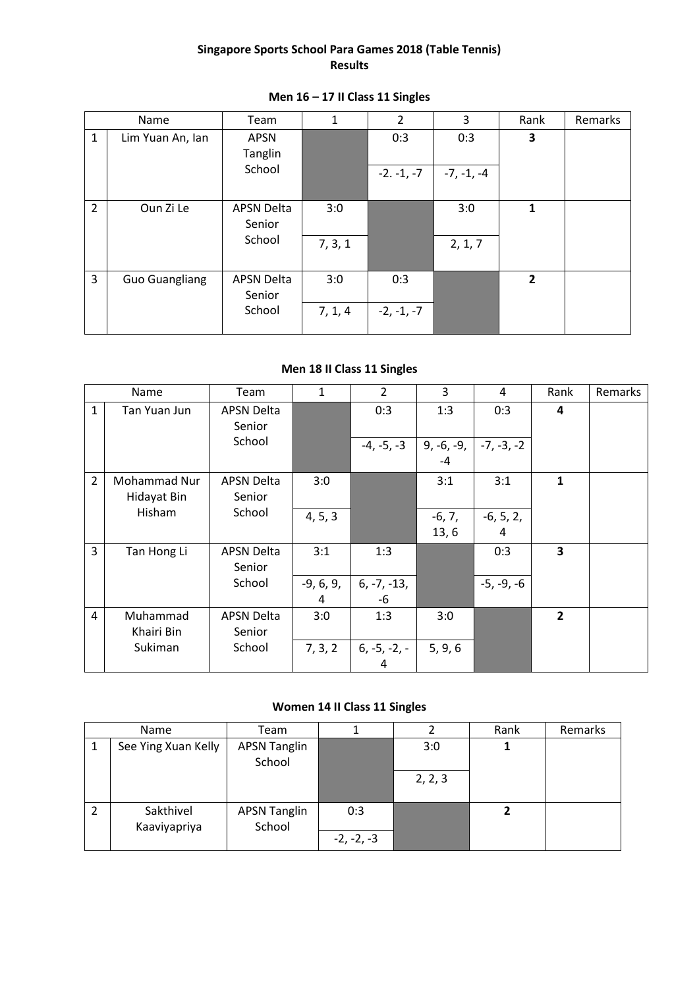### **Singapore Sports School Para Games 2018 (Table Tennis) Results**

| Name           |                       | Team                        | 1       | $\overline{2}$ | 3            | Rank           | Remarks |
|----------------|-----------------------|-----------------------------|---------|----------------|--------------|----------------|---------|
| 1              | Lim Yuan An, Ian      | <b>APSN</b><br>Tanglin      |         | 0:3            | 0:3          | 3              |         |
|                |                       | School                      |         | $-2. -1, -7$   | $-7, -1, -4$ |                |         |
| $\overline{2}$ | Oun Zi Le             | <b>APSN Delta</b><br>Senior | 3:0     |                | 3:0          | 1              |         |
|                |                       | School                      | 7, 3, 1 |                | 2, 1, 7      |                |         |
| 3              | <b>Guo Guangliang</b> | <b>APSN Delta</b><br>Senior | 3:0     | 0:3            |              | $\overline{2}$ |         |
|                |                       | School                      | 7, 1, 4 | $-2, -1, -7$   |              |                |         |

# **Men 16 – 17 II Class 11 Singles**

# **Men 18 II Class 11 Singles**

|                | Name         | Team              | $\mathbf{1}$ | $\overline{2}$ | 3            | 4            | Rank           | Remarks |
|----------------|--------------|-------------------|--------------|----------------|--------------|--------------|----------------|---------|
| $\mathbf{1}$   | Tan Yuan Jun | <b>APSN Delta</b> |              | 0:3            | 1:3          | 0:3          | 4              |         |
|                |              | Senior            |              |                |              |              |                |         |
|                |              | School            |              | $-4, -5, -3$   | $9, -6, -9,$ | $-7, -3, -2$ |                |         |
|                |              |                   |              |                | $-4$         |              |                |         |
| $\overline{2}$ | Mohammad Nur | APSN Delta        | 3:0          |                | 3:1          | 3:1          | $\mathbf{1}$   |         |
|                | Hidayat Bin  | Senior            |              |                |              |              |                |         |
|                | Hisham       | School            | 4, 5, 3      |                | $-6, 7,$     | $-6, 5, 2,$  |                |         |
|                |              |                   |              |                | 13, 6        | 4            |                |         |
| 3              | Tan Hong Li  | <b>APSN Delta</b> | 3:1          | 1:3            |              | 0:3          | 3              |         |
|                |              | Senior            |              |                |              |              |                |         |
|                |              | School            | $-9, 6, 9,$  | $6, -7, -13,$  |              | $-5, -9, -6$ |                |         |
|                |              |                   | 4            | -6             |              |              |                |         |
| $\overline{4}$ | Muhammad     | <b>APSN Delta</b> | 3:0          | 1:3            | 3:0          |              | $\overline{2}$ |         |
|                | Khairi Bin   | Senior            |              |                |              |              |                |         |
|                | Sukiman      | School            | 7, 3, 2      | $6, -5, -2, -$ | 5, 9, 6      |              |                |         |
|                |              |                   |              | 4              |              |              |                |         |

# **Women 14 II Class 11 Singles**

| Name                |                           | Team                          |              |         | Rank | Remarks |
|---------------------|---------------------------|-------------------------------|--------------|---------|------|---------|
| See Ying Xuan Kelly |                           | <b>APSN Tanglin</b><br>School |              | 3:0     |      |         |
|                     |                           |                               |              | 2, 2, 3 |      |         |
|                     | Sakthivel<br>Kaaviyapriya | <b>APSN Tanglin</b><br>School | 0:3          |         |      |         |
|                     |                           |                               | $-2, -2, -3$ |         |      |         |